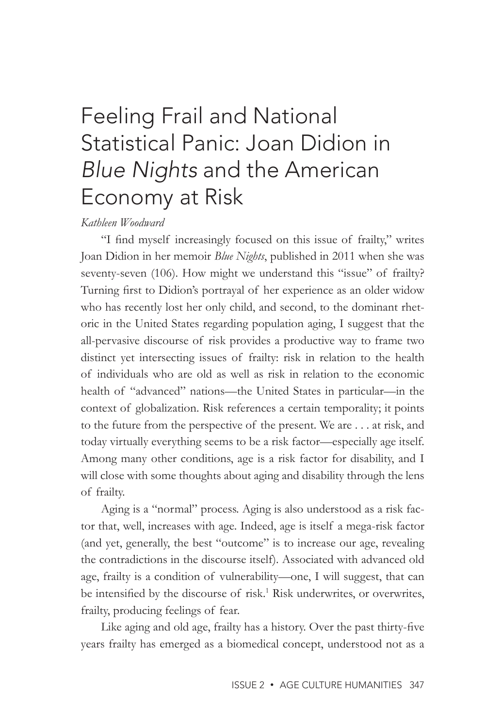## Feeling Frail and National Statistical Panic: Joan Didion in *Blue Nights* and the American Economy at Risk

## *Kathleen Woodward*

"I find myself increasingly focused on this issue of frailty," writes Joan Didion in her memoir *Blue Nights*, published in 2011 when she was seventy-seven (106). How might we understand this "issue" of frailty? Turning first to Didion's portrayal of her experience as an older widow who has recently lost her only child, and second, to the dominant rhetoric in the United States regarding population aging, I suggest that the all-pervasive discourse of risk provides a productive way to frame two distinct yet intersecting issues of frailty: risk in relation to the health of individuals who are old as well as risk in relation to the economic health of "advanced" nations—the United States in particular—in the context of globalization. Risk references a certain temporality; it points to the future from the perspective of the present. We are . . . at risk, and today virtually everything seems to be a risk factor—especially age itself. Among many other conditions, age is a risk factor for disability, and I will close with some thoughts about aging and disability through the lens of frailty.

Aging is a "normal" process. Aging is also understood as a risk factor that, well, increases with age. Indeed, age is itself a mega-risk factor (and yet, generally, the best "outcome" is to increase our age, revealing the contradictions in the discourse itself). Associated with advanced old age, frailty is a condition of vulnerability—one, I will suggest, that can be intensified by the discourse of risk.<sup>1</sup> Risk underwrites, or overwrites, frailty, producing feelings of fear.

Like aging and old age, frailty has a history. Over the past thirty-five years frailty has emerged as a biomedical concept, understood not as a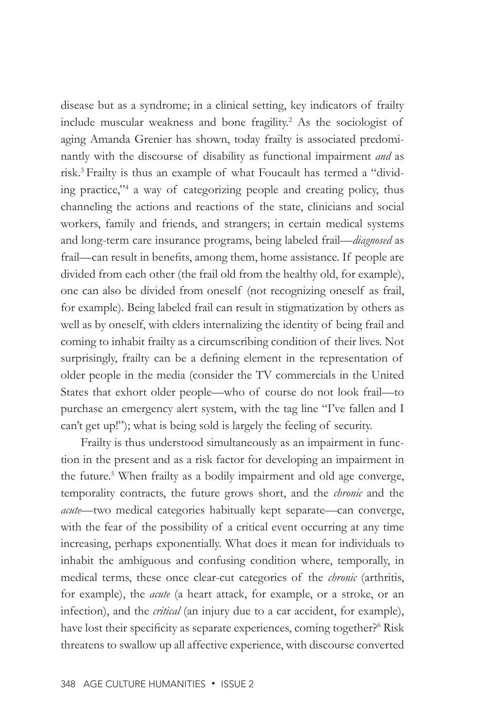disease but as a syndrome; in a clinical setting, key indicators of frailty include muscular weakness and bone fragility.<sup>2</sup> As the sociologist of aging Amanda Grenier has shown, today frailty is associated predominantly with the discourse of disability as functional impairment *and* as risk.3 Frailty is thus an example of what Foucault has termed a "dividing practice,"4 a way of categorizing people and creating policy, thus channeling the actions and reactions of the state, clinicians and social workers, family and friends, and strangers; in certain medical systems and long-term care insurance programs, being labeled frail—*diagnosed* as frail—can result in benefits, among them, home assistance. If people are divided from each other (the frail old from the healthy old, for example), one can also be divided from oneself (not recognizing oneself as frail, for example). Being labeled frail can result in stigmatization by others as well as by oneself, with elders internalizing the identity of being frail and coming to inhabit frailty as a circumscribing condition of their lives. Not surprisingly, frailty can be a defining element in the representation of older people in the media (consider the TV commercials in the United States that exhort older people—who of course do not look frail—to purchase an emergency alert system, with the tag line "I've fallen and I can't get up!"); what is being sold is largely the feeling of security.

Frailty is thus understood simultaneously as an impairment in function in the present and as a risk factor for developing an impairment in the future.5 When frailty as a bodily impairment and old age converge, temporality contracts, the future grows short, and the *chronic* and the *acute*—two medical categories habitually kept separate—can converge, with the fear of the possibility of a critical event occurring at any time increasing, perhaps exponentially. What does it mean for individuals to inhabit the ambiguous and confusing condition where, temporally, in medical terms, these once clear-cut categories of the *chronic* (arthritis, for example), the *acute* (a heart attack, for example, or a stroke, or an infection), and the *critical* (an injury due to a car accident, for example), have lost their specificity as separate experiences, coming together?<sup>6</sup> Risk threatens to swallow up all affective experience, with discourse converted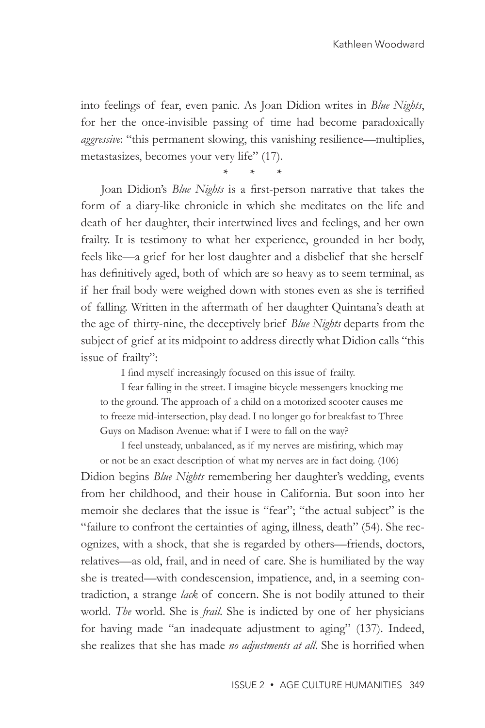into feelings of fear, even panic. As Joan Didion writes in *Blue Nights*, for her the once-invisible passing of time had become paradoxically *aggressive*: "this permanent slowing, this vanishing resilience—multiplies, metastasizes, becomes your very life" (17).

\* \* \*

Joan Didion's *Blue Nights* is a first-person narrative that takes the form of a diary-like chronicle in which she meditates on the life and death of her daughter, their intertwined lives and feelings, and her own frailty. It is testimony to what her experience, grounded in her body, feels like—a grief for her lost daughter and a disbelief that she herself has definitively aged, both of which are so heavy as to seem terminal, as if her frail body were weighed down with stones even as she is terrified of falling. Written in the aftermath of her daughter Quintana's death at the age of thirty-nine, the deceptively brief *Blue Nights* departs from the subject of grief at its midpoint to address directly what Didion calls "this issue of frailty":

I find myself increasingly focused on this issue of frailty.

I fear falling in the street. I imagine bicycle messengers knocking me to the ground. The approach of a child on a motorized scooter causes me to freeze mid-intersection, play dead. I no longer go for breakfast to Three Guys on Madison Avenue: what if I were to fall on the way?

I feel unsteady, unbalanced, as if my nerves are misfiring, which may or not be an exact description of what my nerves are in fact doing. (106) Didion begins *Blue Nights* remembering her daughter's wedding, events from her childhood, and their house in California. But soon into her memoir she declares that the issue is "fear"; "the actual subject" is the "failure to confront the certainties of aging, illness, death" (54). She recognizes, with a shock, that she is regarded by others—friends, doctors, relatives—as old, frail, and in need of care. She is humiliated by the way she is treated—with condescension, impatience, and, in a seeming contradiction, a strange *lack* of concern. She is not bodily attuned to their world. *The* world. She is *frail*. She is indicted by one of her physicians for having made "an inadequate adjustment to aging" (137). Indeed, she realizes that she has made *no adjustments at all*. She is horrified when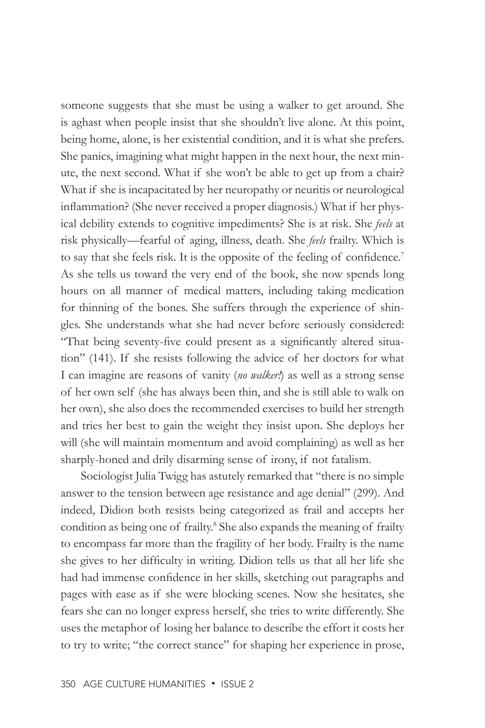someone suggests that she must be using a walker to get around. She is aghast when people insist that she shouldn't live alone. At this point, being home, alone, is her existential condition, and it is what she prefers. She panics, imagining what might happen in the next hour, the next minute, the next second. What if she won't be able to get up from a chair? What if she is incapacitated by her neuropathy or neuritis or neurological inflammation? (She never received a proper diagnosis.) What if her physical debility extends to cognitive impediments? She is at risk. She *feels* at risk physically—fearful of aging, illness, death. She *feels* frailty. Which is to say that she feels risk. It is the opposite of the feeling of confidence.<sup>7</sup> As she tells us toward the very end of the book, she now spends long hours on all manner of medical matters, including taking medication for thinning of the bones. She suffers through the experience of shingles. She understands what she had never before seriously considered: "That being seventy-five could present as a significantly altered situation" (141). If she resists following the advice of her doctors for what I can imagine are reasons of vanity (*no walker!*) as well as a strong sense of her own self (she has always been thin, and she is still able to walk on her own), she also does the recommended exercises to build her strength and tries her best to gain the weight they insist upon. She deploys her will (she will maintain momentum and avoid complaining) as well as her sharply-honed and drily disarming sense of irony, if not fatalism.

Sociologist Julia Twigg has astutely remarked that "there is no simple answer to the tension between age resistance and age denial" (299). And indeed, Didion both resists being categorized as frail and accepts her condition as being one of frailty.<sup>8</sup> She also expands the meaning of frailty to encompass far more than the fragility of her body. Frailty is the name she gives to her difficulty in writing. Didion tells us that all her life she had had immense confidence in her skills, sketching out paragraphs and pages with ease as if she were blocking scenes. Now she hesitates, she fears she can no longer express herself, she tries to write differently. She uses the metaphor of losing her balance to describe the effort it costs her to try to write; "the correct stance" for shaping her experience in prose,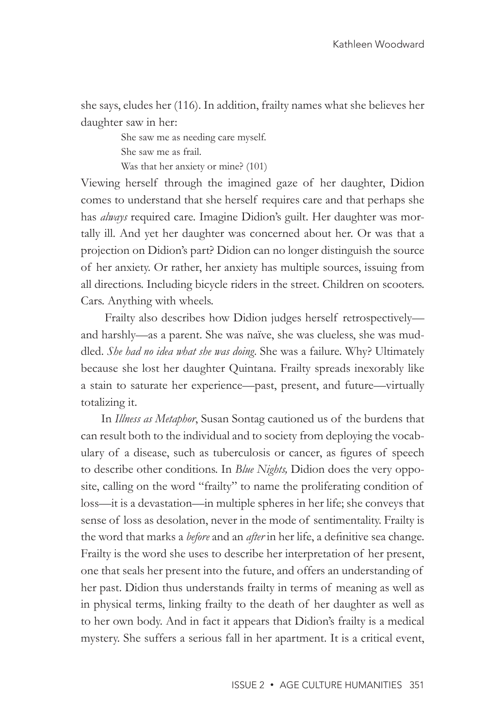she says, eludes her (116). In addition, frailty names what she believes her daughter saw in her:

> She saw me as needing care myself. She saw me as frail. Was that her anxiety or mine? (101)

Viewing herself through the imagined gaze of her daughter, Didion comes to understand that she herself requires care and that perhaps she has *always* required care. Imagine Didion's guilt. Her daughter was mortally ill. And yet her daughter was concerned about her. Or was that a projection on Didion's part? Didion can no longer distinguish the source of her anxiety. Or rather, her anxiety has multiple sources, issuing from all directions. Including bicycle riders in the street. Children on scooters. Cars. Anything with wheels.

 Frailty also describes how Didion judges herself retrospectively and harshly—as a parent. She was naïve, she was clueless, she was muddled. *She had no idea what she was doing*. She was a failure. Why? Ultimately because she lost her daughter Quintana. Frailty spreads inexorably like a stain to saturate her experience—past, present, and future—virtually totalizing it.

In *Illness as Metaphor*, Susan Sontag cautioned us of the burdens that can result both to the individual and to society from deploying the vocabulary of a disease, such as tuberculosis or cancer, as figures of speech to describe other conditions. In *Blue Nights,* Didion does the very opposite, calling on the word "frailty" to name the proliferating condition of loss—it is a devastation—in multiple spheres in her life; she conveys that sense of loss as desolation, never in the mode of sentimentality. Frailty is the word that marks a *before* and an *after* in her life, a definitive sea change. Frailty is the word she uses to describe her interpretation of her present, one that seals her present into the future, and offers an understanding of her past. Didion thus understands frailty in terms of meaning as well as in physical terms, linking frailty to the death of her daughter as well as to her own body. And in fact it appears that Didion's frailty is a medical mystery. She suffers a serious fall in her apartment. It is a critical event,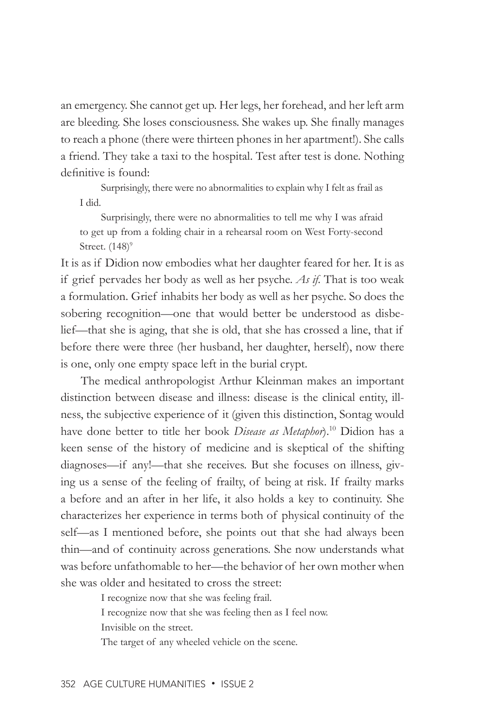an emergency. She cannot get up. Her legs, her forehead, and her left arm are bleeding. She loses consciousness. She wakes up. She finally manages to reach a phone (there were thirteen phones in her apartment!). She calls a friend. They take a taxi to the hospital. Test after test is done. Nothing definitive is found:

Surprisingly, there were no abnormalities to explain why I felt as frail as I did.

Surprisingly, there were no abnormalities to tell me why I was afraid to get up from a folding chair in a rehearsal room on West Forty-second Street.  $(148)^9$ 

It is as if Didion now embodies what her daughter feared for her. It is as if grief pervades her body as well as her psyche. *As if*. That is too weak a formulation. Grief inhabits her body as well as her psyche. So does the sobering recognition—one that would better be understood as disbelief—that she is aging, that she is old, that she has crossed a line, that if before there were three (her husband, her daughter, herself), now there is one, only one empty space left in the burial crypt.

The medical anthropologist Arthur Kleinman makes an important distinction between disease and illness: disease is the clinical entity, illness, the subjective experience of it (given this distinction, Sontag would have done better to title her book *Disease as Metaphor*).10 Didion has a keen sense of the history of medicine and is skeptical of the shifting diagnoses—if any!—that she receives. But she focuses on illness, giving us a sense of the feeling of frailty, of being at risk. If frailty marks a before and an after in her life, it also holds a key to continuity. She characterizes her experience in terms both of physical continuity of the self—as I mentioned before, she points out that she had always been thin—and of continuity across generations. She now understands what was before unfathomable to her—the behavior of her own mother when she was older and hesitated to cross the street:

> I recognize now that she was feeling frail. I recognize now that she was feeling then as I feel now.

Invisible on the street.

The target of any wheeled vehicle on the scene.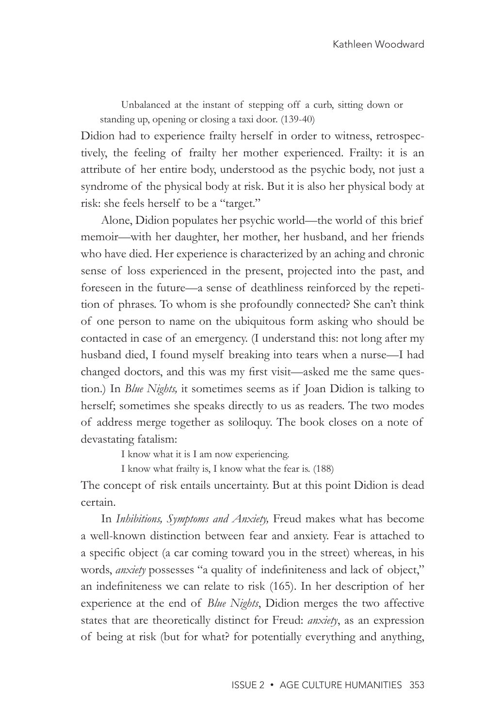Unbalanced at the instant of stepping off a curb, sitting down or standing up, opening or closing a taxi door. (139-40)

Didion had to experience frailty herself in order to witness, retrospectively, the feeling of frailty her mother experienced. Frailty: it is an attribute of her entire body, understood as the psychic body, not just a syndrome of the physical body at risk. But it is also her physical body at risk: she feels herself to be a "target."

Alone, Didion populates her psychic world—the world of this brief memoir—with her daughter, her mother, her husband, and her friends who have died. Her experience is characterized by an aching and chronic sense of loss experienced in the present, projected into the past, and foreseen in the future—a sense of deathliness reinforced by the repetition of phrases. To whom is she profoundly connected? She can't think of one person to name on the ubiquitous form asking who should be contacted in case of an emergency. (I understand this: not long after my husband died, I found myself breaking into tears when a nurse—I had changed doctors, and this was my first visit—asked me the same question.) In *Blue Nights,* it sometimes seems as if Joan Didion is talking to herself; sometimes she speaks directly to us as readers. The two modes of address merge together as soliloquy. The book closes on a note of devastating fatalism:

I know what it is I am now experiencing.

I know what frailty is, I know what the fear is. (188)

The concept of risk entails uncertainty. But at this point Didion is dead certain.

In *Inhibitions, Symptoms and Anxiety,* Freud makes what has become a well-known distinction between fear and anxiety. Fear is attached to a specific object (a car coming toward you in the street) whereas, in his words, *anxiety* possesses "a quality of indefiniteness and lack of object," an indefiniteness we can relate to risk (165). In her description of her experience at the end of *Blue Nights*, Didion merges the two affective states that are theoretically distinct for Freud: *anxiety*, as an expression of being at risk (but for what? for potentially everything and anything,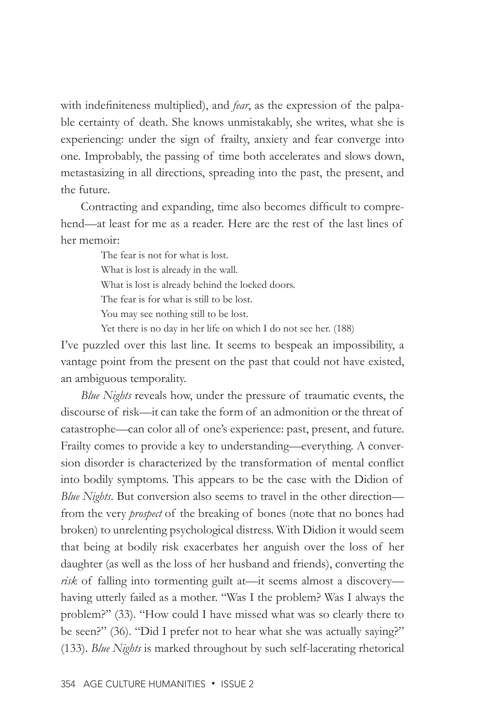with indefiniteness multiplied), and *fear*, as the expression of the palpable certainty of death. She knows unmistakably, she writes, what she is experiencing: under the sign of frailty, anxiety and fear converge into one. Improbably, the passing of time both accelerates and slows down, metastasizing in all directions, spreading into the past, the present, and the future.

Contracting and expanding, time also becomes difficult to comprehend—at least for me as a reader. Here are the rest of the last lines of her memoir:

> The fear is not for what is lost. What is lost is already in the wall. What is lost is already behind the locked doors. The fear is for what is still to be lost. You may see nothing still to be lost.

Yet there is no day in her life on which I do not see her. (188)

I've puzzled over this last line. It seems to bespeak an impossibility, a vantage point from the present on the past that could not have existed, an ambiguous temporality.

*Blue Nights* reveals how, under the pressure of traumatic events, the discourse of risk—it can take the form of an admonition or the threat of catastrophe—can color all of one's experience: past, present, and future. Frailty comes to provide a key to understanding—everything. A conversion disorder is characterized by the transformation of mental conflict into bodily symptoms. This appears to be the case with the Didion of *Blue Nights*. But conversion also seems to travel in the other direction from the very *prospect* of the breaking of bones (note that no bones had broken) to unrelenting psychological distress. With Didion it would seem that being at bodily risk exacerbates her anguish over the loss of her daughter (as well as the loss of her husband and friends), converting the *risk* of falling into tormenting guilt at—it seems almost a discovery having utterly failed as a mother. "Was I the problem? Was I always the problem?" (33). "How could I have missed what was so clearly there to be seen?" (36). "Did I prefer not to hear what she was actually saying?" (133). *Blue Nights* is marked throughout by such self-lacerating rhetorical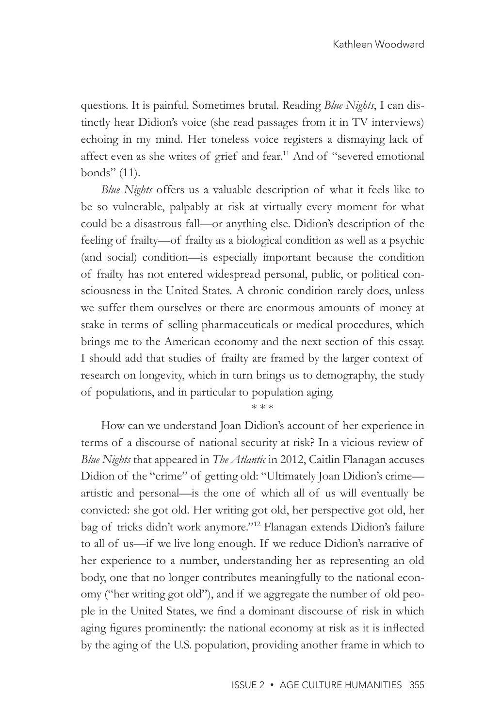questions. It is painful. Sometimes brutal. Reading *Blue Nights*, I can distinctly hear Didion's voice (she read passages from it in TV interviews) echoing in my mind. Her toneless voice registers a dismaying lack of affect even as she writes of grief and fear.<sup>11</sup> And of "severed emotional bonds" (11).

*Blue Nights* offers us a valuable description of what it feels like to be so vulnerable, palpably at risk at virtually every moment for what could be a disastrous fall—or anything else. Didion's description of the feeling of frailty—of frailty as a biological condition as well as a psychic (and social) condition—is especially important because the condition of frailty has not entered widespread personal, public, or political consciousness in the United States. A chronic condition rarely does, unless we suffer them ourselves or there are enormous amounts of money at stake in terms of selling pharmaceuticals or medical procedures, which brings me to the American economy and the next section of this essay. I should add that studies of frailty are framed by the larger context of research on longevity, which in turn brings us to demography, the study of populations, and in particular to population aging.

\* \* \*

How can we understand Joan Didion's account of her experience in terms of a discourse of national security at risk? In a vicious review of *Blue Nights* that appeared in *The Atlantic* in 2012, Caitlin Flanagan accuses Didion of the "crime" of getting old: "Ultimately Joan Didion's crime artistic and personal—is the one of which all of us will eventually be convicted: she got old. Her writing got old, her perspective got old, her bag of tricks didn't work anymore."12 Flanagan extends Didion's failure to all of us—if we live long enough. If we reduce Didion's narrative of her experience to a number, understanding her as representing an old body, one that no longer contributes meaningfully to the national economy ("her writing got old"), and if we aggregate the number of old people in the United States, we find a dominant discourse of risk in which aging figures prominently: the national economy at risk as it is inflected by the aging of the U.S. population, providing another frame in which to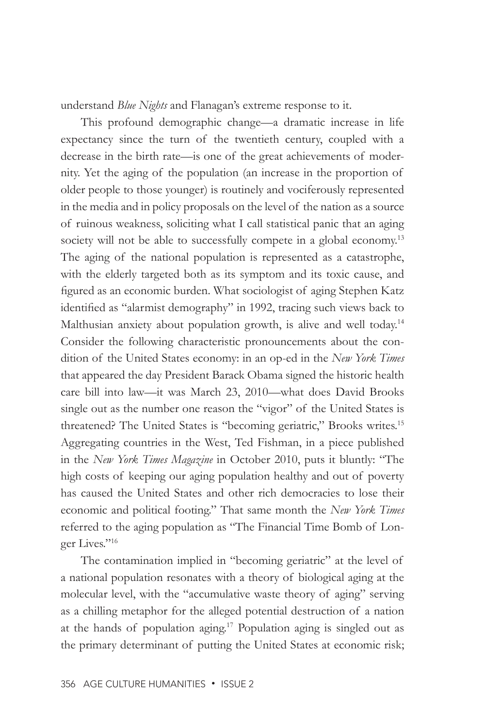understand *Blue Nights* and Flanagan's extreme response to it.

This profound demographic change—a dramatic increase in life expectancy since the turn of the twentieth century, coupled with a decrease in the birth rate—is one of the great achievements of modernity. Yet the aging of the population (an increase in the proportion of older people to those younger) is routinely and vociferously represented in the media and in policy proposals on the level of the nation as a source of ruinous weakness, soliciting what I call statistical panic that an aging society will not be able to successfully compete in a global economy.<sup>13</sup> The aging of the national population is represented as a catastrophe, with the elderly targeted both as its symptom and its toxic cause, and figured as an economic burden. What sociologist of aging Stephen Katz identified as "alarmist demography" in 1992, tracing such views back to Malthusian anxiety about population growth, is alive and well today.<sup>14</sup> Consider the following characteristic pronouncements about the condition of the United States economy: in an op-ed in the *New York Times* that appeared the day President Barack Obama signed the historic health care bill into law—it was March 23, 2010—what does David Brooks single out as the number one reason the "vigor" of the United States is threatened? The United States is "becoming geriatric," Brooks writes.<sup>15</sup> Aggregating countries in the West, Ted Fishman, in a piece published in the *New York Times Magazine* in October 2010, puts it bluntly: "The high costs of keeping our aging population healthy and out of poverty has caused the United States and other rich democracies to lose their economic and political footing." That same month the *New York Times* referred to the aging population as "The Financial Time Bomb of Longer Lives."<sup>16</sup>

The contamination implied in "becoming geriatric" at the level of a national population resonates with a theory of biological aging at the molecular level, with the "accumulative waste theory of aging" serving as a chilling metaphor for the alleged potential destruction of a nation at the hands of population aging.17 Population aging is singled out as the primary determinant of putting the United States at economic risk;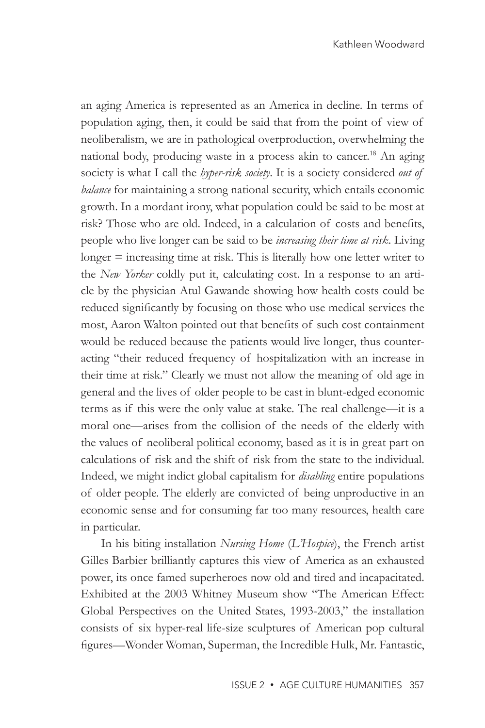an aging America is represented as an America in decline. In terms of population aging, then, it could be said that from the point of view of neoliberalism, we are in pathological overproduction, overwhelming the national body, producing waste in a process akin to cancer.<sup>18</sup> An aging society is what I call the *hyper-risk society*. It is a society considered *out of balance* for maintaining a strong national security, which entails economic growth. In a mordant irony, what population could be said to be most at risk? Those who are old. Indeed, in a calculation of costs and benefits, people who live longer can be said to be *increasing their time at risk*. Living longer = increasing time at risk. This is literally how one letter writer to the *New Yorker* coldly put it, calculating cost. In a response to an article by the physician Atul Gawande showing how health costs could be reduced significantly by focusing on those who use medical services the most, Aaron Walton pointed out that benefits of such cost containment would be reduced because the patients would live longer, thus counteracting "their reduced frequency of hospitalization with an increase in their time at risk." Clearly we must not allow the meaning of old age in general and the lives of older people to be cast in blunt-edged economic terms as if this were the only value at stake. The real challenge—it is a moral one—arises from the collision of the needs of the elderly with the values of neoliberal political economy, based as it is in great part on calculations of risk and the shift of risk from the state to the individual. Indeed, we might indict global capitalism for *disabling* entire populations of older people. The elderly are convicted of being unproductive in an economic sense and for consuming far too many resources, health care in particular.

In his biting installation *Nursing Home* (*L'Hospice*), the French artist Gilles Barbier brilliantly captures this view of America as an exhausted power, its once famed superheroes now old and tired and incapacitated. Exhibited at the 2003 Whitney Museum show "The American Effect: Global Perspectives on the United States, 1993-2003," the installation consists of six hyper-real life-size sculptures of American pop cultural figures—Wonder Woman, Superman, the Incredible Hulk, Mr. Fantastic,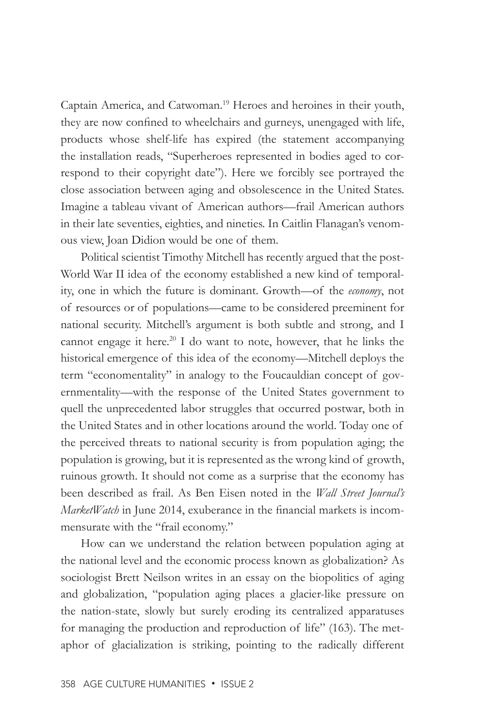Captain America, and Catwoman.19 Heroes and heroines in their youth, they are now confined to wheelchairs and gurneys, unengaged with life, products whose shelf-life has expired (the statement accompanying the installation reads, "Superheroes represented in bodies aged to correspond to their copyright date"). Here we forcibly see portrayed the close association between aging and obsolescence in the United States. Imagine a tableau vivant of American authors—frail American authors in their late seventies, eighties, and nineties. In Caitlin Flanagan's venomous view, Joan Didion would be one of them.

Political scientist Timothy Mitchell has recently argued that the post-World War II idea of the economy established a new kind of temporality, one in which the future is dominant. Growth—of the *economy*, not of resources or of populations—came to be considered preeminent for national security. Mitchell's argument is both subtle and strong, and I cannot engage it here.<sup>20</sup> I do want to note, however, that he links the historical emergence of this idea of the economy—Mitchell deploys the term "economentality" in analogy to the Foucauldian concept of governmentality—with the response of the United States government to quell the unprecedented labor struggles that occurred postwar, both in the United States and in other locations around the world. Today one of the perceived threats to national security is from population aging; the population is growing, but it is represented as the wrong kind of growth, ruinous growth. It should not come as a surprise that the economy has been described as frail. As Ben Eisen noted in the *Wall Street Journal's MarketWatch* in June 2014, exuberance in the financial markets is incommensurate with the "frail economy."

How can we understand the relation between population aging at the national level and the economic process known as globalization? As sociologist Brett Neilson writes in an essay on the biopolitics of aging and globalization, "population aging places a glacier-like pressure on the nation-state, slowly but surely eroding its centralized apparatuses for managing the production and reproduction of life" (163). The metaphor of glacialization is striking, pointing to the radically different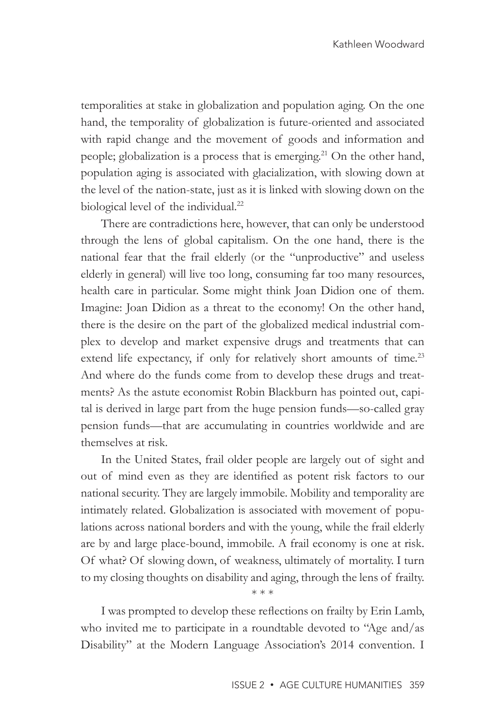temporalities at stake in globalization and population aging. On the one hand, the temporality of globalization is future-oriented and associated with rapid change and the movement of goods and information and people; globalization is a process that is emerging.<sup>21</sup> On the other hand, population aging is associated with glacialization, with slowing down at the level of the nation-state, just as it is linked with slowing down on the biological level of the individual.<sup>22</sup>

There are contradictions here, however, that can only be understood through the lens of global capitalism. On the one hand, there is the national fear that the frail elderly (or the "unproductive" and useless elderly in general) will live too long, consuming far too many resources, health care in particular. Some might think Joan Didion one of them. Imagine: Joan Didion as a threat to the economy! On the other hand, there is the desire on the part of the globalized medical industrial complex to develop and market expensive drugs and treatments that can extend life expectancy, if only for relatively short amounts of time.<sup>23</sup> And where do the funds come from to develop these drugs and treatments? As the astute economist Robin Blackburn has pointed out, capital is derived in large part from the huge pension funds—so-called gray pension funds—that are accumulating in countries worldwide and are themselves at risk.

In the United States, frail older people are largely out of sight and out of mind even as they are identified as potent risk factors to our national security. They are largely immobile. Mobility and temporality are intimately related. Globalization is associated with movement of populations across national borders and with the young, while the frail elderly are by and large place-bound, immobile. A frail economy is one at risk. Of what? Of slowing down, of weakness, ultimately of mortality. I turn to my closing thoughts on disability and aging, through the lens of frailty.

I was prompted to develop these reflections on frailty by Erin Lamb, who invited me to participate in a roundtable devoted to "Age and/as Disability" at the Modern Language Association's 2014 convention. I

\* \* \*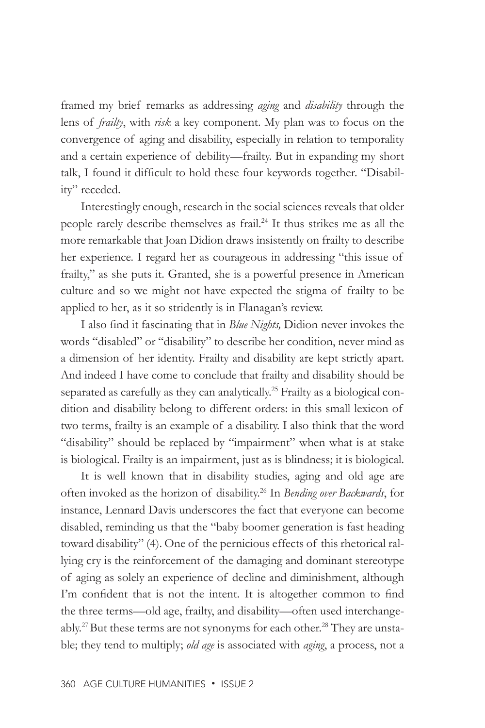framed my brief remarks as addressing *aging* and *disability* through the lens of *frailty*, with *risk* a key component. My plan was to focus on the convergence of aging and disability, especially in relation to temporality and a certain experience of debility—frailty. But in expanding my short talk, I found it difficult to hold these four keywords together. "Disability" receded.

Interestingly enough, research in the social sciences reveals that older people rarely describe themselves as frail.<sup>24</sup> It thus strikes me as all the more remarkable that Joan Didion draws insistently on frailty to describe her experience. I regard her as courageous in addressing "this issue of frailty," as she puts it. Granted, she is a powerful presence in American culture and so we might not have expected the stigma of frailty to be applied to her, as it so stridently is in Flanagan's review.

I also find it fascinating that in *Blue Nights,* Didion never invokes the words "disabled" or "disability" to describe her condition, never mind as a dimension of her identity. Frailty and disability are kept strictly apart. And indeed I have come to conclude that frailty and disability should be separated as carefully as they can analytically.<sup>25</sup> Frailty as a biological condition and disability belong to different orders: in this small lexicon of two terms, frailty is an example of a disability. I also think that the word "disability" should be replaced by "impairment" when what is at stake is biological. Frailty is an impairment, just as is blindness; it is biological.

It is well known that in disability studies, aging and old age are often invoked as the horizon of disability.26 In *Bending over Backwards*, for instance, Lennard Davis underscores the fact that everyone can become disabled, reminding us that the "baby boomer generation is fast heading toward disability" (4). One of the pernicious effects of this rhetorical rallying cry is the reinforcement of the damaging and dominant stereotype of aging as solely an experience of decline and diminishment, although I'm confident that is not the intent. It is altogether common to find the three terms—old age, frailty, and disability—often used interchangeably.<sup>27</sup> But these terms are not synonyms for each other.<sup>28</sup> They are unstable; they tend to multiply; *old age* is associated with *aging*, a process, not a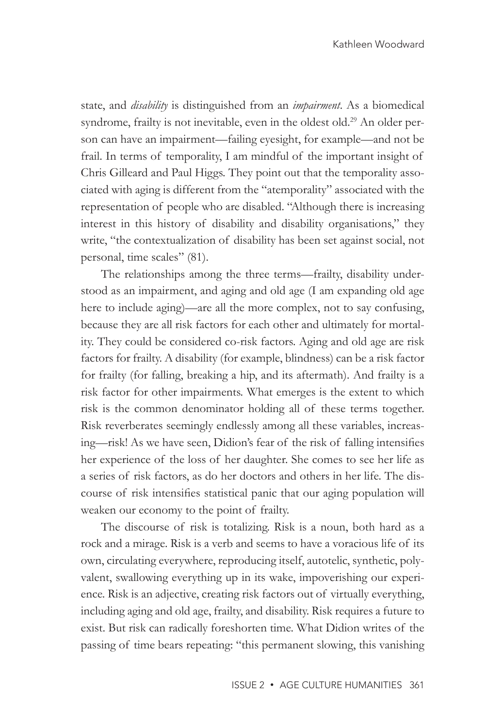state, and *disability* is distinguished from an *impairment*. As a biomedical syndrome, frailty is not inevitable, even in the oldest old.<sup>29</sup> An older person can have an impairment—failing eyesight, for example—and not be frail. In terms of temporality, I am mindful of the important insight of Chris Gilleard and Paul Higgs. They point out that the temporality associated with aging is different from the "atemporality" associated with the representation of people who are disabled. "Although there is increasing interest in this history of disability and disability organisations," they write, "the contextualization of disability has been set against social, not personal, time scales" (81).

The relationships among the three terms—frailty, disability understood as an impairment, and aging and old age (I am expanding old age here to include aging)—are all the more complex, not to say confusing, because they are all risk factors for each other and ultimately for mortality. They could be considered co-risk factors. Aging and old age are risk factors for frailty. A disability (for example, blindness) can be a risk factor for frailty (for falling, breaking a hip, and its aftermath). And frailty is a risk factor for other impairments. What emerges is the extent to which risk is the common denominator holding all of these terms together. Risk reverberates seemingly endlessly among all these variables, increasing—risk! As we have seen, Didion's fear of the risk of falling intensifies her experience of the loss of her daughter. She comes to see her life as a series of risk factors, as do her doctors and others in her life. The discourse of risk intensifies statistical panic that our aging population will weaken our economy to the point of frailty.

The discourse of risk is totalizing. Risk is a noun, both hard as a rock and a mirage. Risk is a verb and seems to have a voracious life of its own, circulating everywhere, reproducing itself, autotelic, synthetic, polyvalent, swallowing everything up in its wake, impoverishing our experience. Risk is an adjective, creating risk factors out of virtually everything, including aging and old age, frailty, and disability. Risk requires a future to exist. But risk can radically foreshorten time. What Didion writes of the passing of time bears repeating: "this permanent slowing, this vanishing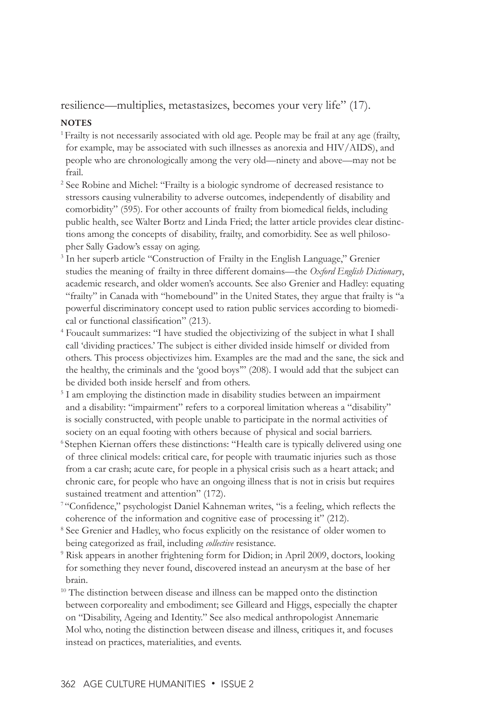resilience—multiplies, metastasizes, becomes your very life" (17).

## **NOTES**

- <sup>1</sup> Frailty is not necessarily associated with old age. People may be frail at any age (frailty, for example, may be associated with such illnesses as anorexia and HIV/AIDS), and people who are chronologically among the very old—ninety and above—may not be frail.
- <sup>2</sup> See Robine and Michel: "Frailty is a biologic syndrome of decreased resistance to stressors causing vulnerability to adverse outcomes, independently of disability and comorbidity" (595). For other accounts of frailty from biomedical fields, including public health, see Walter Bortz and Linda Fried; the latter article provides clear distinctions among the concepts of disability, frailty, and comorbidity. See as well philosopher Sally Gadow's essay on aging.
- <sup>3</sup> In her superb article "Construction of Frailty in the English Language," Grenier studies the meaning of frailty in three different domains—the *Oxford English Dictionary*, academic research, and older women's accounts. See also Grenier and Hadley: equating "frailty" in Canada with "homebound" in the United States, they argue that frailty is "a powerful discriminatory concept used to ration public services according to biomedical or functional classification" (213).
- 4 Foucault summarizes: "I have studied the objectivizing of the subject in what I shall call 'dividing practices.' The subject is either divided inside himself or divided from others. This process objectivizes him. Examples are the mad and the sane, the sick and the healthy, the criminals and the 'good boys'" (208). I would add that the subject can be divided both inside herself and from others.
- <sup>5</sup> I am employing the distinction made in disability studies between an impairment and a disability: "impairment" refers to a corporeal limitation whereas a "disability" is socially constructed, with people unable to participate in the normal activities of society on an equal footing with others because of physical and social barriers.
- 6 Stephen Kiernan offers these distinctions: "Health care is typically delivered using one of three clinical models: critical care, for people with traumatic injuries such as those from a car crash; acute care, for people in a physical crisis such as a heart attack; and chronic care, for people who have an ongoing illness that is not in crisis but requires sustained treatment and attention" (172).
- <sup>7</sup>"Confidence," psychologist Daniel Kahneman writes, "is a feeling, which reflects the coherence of the information and cognitive ease of processing it" (212).
- <sup>8</sup> See Grenier and Hadley, who focus explicitly on the resistance of older women to being categorized as frail, including *collective* resistance.
- <sup>9</sup> Risk appears in another frightening form for Didion; in April 2009, doctors, looking for something they never found, discovered instead an aneurysm at the base of her brain.
- <sup>10</sup> The distinction between disease and illness can be mapped onto the distinction between corporeality and embodiment; see Gilleard and Higgs, especially the chapter on "Disability, Ageing and Identity." See also medical anthropologist Annemarie Mol who, noting the distinction between disease and illness, critiques it, and focuses instead on practices, materialities, and events.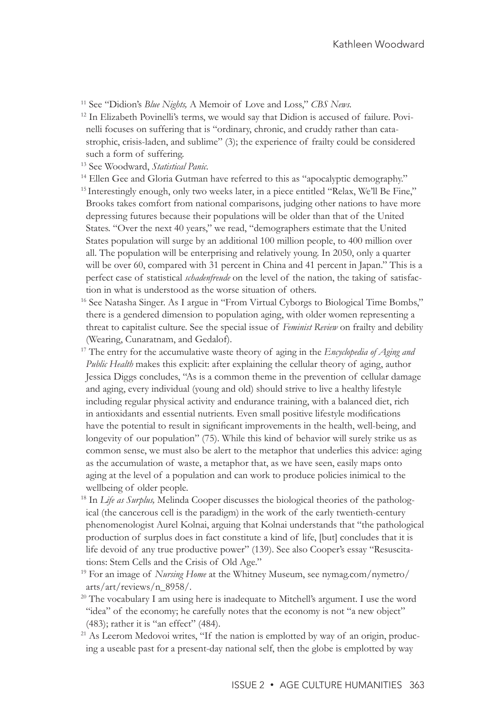- 11 See "Didion's *Blue Nights,* A Memoir of Love and Loss," *CBS News.*
- <sup>12</sup> In Elizabeth Povinelli's terms, we would say that Didion is accused of failure. Povinelli focuses on suffering that is "ordinary, chronic, and cruddy rather than catastrophic, crisis-laden, and sublime" (3); the experience of frailty could be considered such a form of suffering.
- 
- <sup>13</sup> See Woodward, *Statistical Panic.*<br><sup>14</sup> Ellen Gee and Gloria Gutman have referred to this as "apocalyptic demography."
- <sup>15</sup> Interestingly enough, only two weeks later, in a piece entitled "Relax, We'll Be Fine," Brooks takes comfort from national comparisons, judging other nations to have more depressing futures because their populations will be older than that of the United States. "Over the next 40 years," we read, "demographers estimate that the United States population will surge by an additional 100 million people, to 400 million over all. The population will be enterprising and relatively young. In 2050, only a quarter will be over 60, compared with 31 percent in China and 41 percent in Japan." This is a perfect case of statistical *schadenfreude* on the level of the nation, the taking of satisfaction in what is understood as the worse situation of others.
- <sup>16</sup> See Natasha Singer. As I argue in "From Virtual Cyborgs to Biological Time Bombs," there is a gendered dimension to population aging, with older women representing a threat to capitalist culture. See the special issue of *Feminist Review* on frailty and debility (Wearing, Cunaratnam, and Gedalof).
- 17 The entry for the accumulative waste theory of aging in the *Encyclopedia of Aging and Public Health* makes this explicit: after explaining the cellular theory of aging, author Jessica Diggs concludes, "As is a common theme in the prevention of cellular damage and aging, every individual (young and old) should strive to live a healthy lifestyle including regular physical activity and endurance training, with a balanced diet, rich in antioxidants and essential nutrients. Even small positive lifestyle modifications have the potential to result in significant improvements in the health, well-being, and longevity of our population" (75). While this kind of behavior will surely strike us as common sense, we must also be alert to the metaphor that underlies this advice: aging as the accumulation of waste, a metaphor that, as we have seen, easily maps onto aging at the level of a population and can work to produce policies inimical to the wellbeing of older people.
- 18 In *Life as Surplus,* Melinda Cooper discusses the biological theories of the pathological (the cancerous cell is the paradigm) in the work of the early twentieth-century phenomenologist Aurel Kolnai, arguing that Kolnai understands that "the pathological production of surplus does in fact constitute a kind of life, [but] concludes that it is life devoid of any true productive power" (139). See also Cooper's essay "Resuscitations: Stem Cells and the Crisis of Old Age."
- 19 For an image of *Nursing Home* at the Whitney Museum, see nymag.com/nymetro/ arts/art/reviews/n\_8958/.
- $20$  The vocabulary I am using here is inadequate to Mitchell's argument. I use the word "idea" of the economy; he carefully notes that the economy is not "a new object" (483); rather it is "an effect" (484).
- <sup>21</sup> As Leerom Medovoi writes, "If the nation is emplotted by way of an origin, producing a useable past for a present-day national self, then the globe is emplotted by way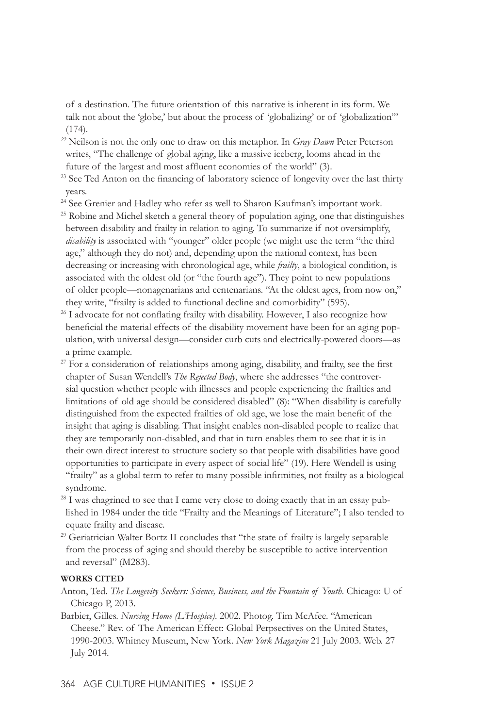of a destination. The future orientation of this narrative is inherent in its form. We talk not about the 'globe,' but about the process of 'globalizing' or of 'globalization'" (174).

- *<sup>22</sup>* Neilson is not the only one to draw on this metaphor. In *Gray Dawn* Peter Peterson writes, "The challenge of global aging, like a massive iceberg, looms ahead in the future of the largest and most affluent economies of the world" (3).
- <sup>23</sup> See Ted Anton on the financing of laboratory science of longevity over the last thirty years.
- <sup>24</sup> See Grenier and Hadley who refer as well to Sharon Kaufman's important work.
- <sup>25</sup> Robine and Michel sketch a general theory of population aging, one that distinguishes between disability and frailty in relation to aging. To summarize if not oversimplify, *disability* is associated with "younger" older people (we might use the term "the third age," although they do not) and, depending upon the national context, has been decreasing or increasing with chronological age, while *frailty*, a biological condition, is associated with the oldest old (or "the fourth age"). They point to new populations of older people—nonagenarians and centenarians. "At the oldest ages, from now on," they write, "frailty is added to functional decline and comorbidity" (595).
- <sup>26</sup> I advocate for not conflating frailty with disability. However, I also recognize how beneficial the material effects of the disability movement have been for an aging population, with universal design—consider curb cuts and electrically-powered doors—as a prime example.
- $27$  For a consideration of relationships among aging, disability, and frailty, see the first chapter of Susan Wendell's *The Rejected Body*, where she addresses "the controversial question whether people with illnesses and people experiencing the frailties and limitations of old age should be considered disabled" (8): "When disability is carefully distinguished from the expected frailties of old age, we lose the main benefit of the insight that aging is disabling. That insight enables non-disabled people to realize that they are temporarily non-disabled, and that in turn enables them to see that it is in their own direct interest to structure society so that people with disabilities have good opportunities to participate in every aspect of social life" (19). Here Wendell is using "frailty" as a global term to refer to many possible infirmities, not frailty as a biological syndrome.
- $28$  I was chagrined to see that I came very close to doing exactly that in an essay published in 1984 under the title "Frailty and the Meanings of Literature"; I also tended to equate frailty and disease.
- <sup>29</sup> Geriatrician Walter Bortz II concludes that "the state of frailty is largely separable from the process of aging and should thereby be susceptible to active intervention and reversal" (M283).

## **WORKS CITED**

- Anton, Ted. *The Longevity Seekers: Science, Business, and the Fountain of Youth*. Chicago: U of Chicago P, 2013.
- Barbier, Gilles. *Nursing Home (L'Hospice)*. 2002. Photog. Tim McAfee. "American Cheese." Rev. of The American Effect: Global Perpsectives on the United States, 1990-2003. Whitney Museum, New York. *New York Magazine* 21 July 2003. Web. 27 July 2014.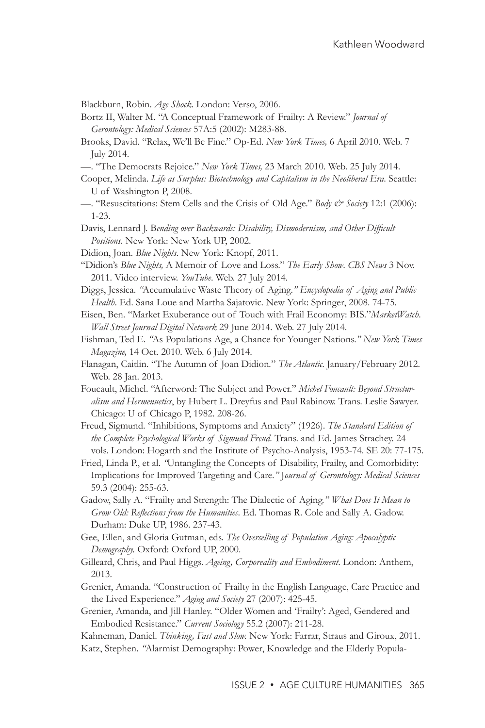Blackburn, Robin. *Age Shock*. London: Verso, 2006.

- Bortz II, Walter M. "A Conceptual Framework of Frailty: A Review." *Journal of Gerontology: Medical Sciences* 57A:5 (2002): M283-88.
- Brooks, David. "Relax, We'll Be Fine." Op-Ed. *New York Times,* 6 April 2010. Web. 7 July 2014.
- —. "The Democrats Rejoice." *New York Times,* 23 March 2010. Web. 25 July 2014.
- Cooper, Melinda. *Life as Surplus: Biotechnology and Capitalism in the Neoliberal Era*. Seattle: U of Washington P, 2008.
- —. "Resuscitations: Stem Cells and the Crisis of Old Age." *Body & Society* 12:1 (2006): 1-23.
- Davis, Lennard J. B*ending over Backwards: Disability, Dismodernism, and Other Difficult Positions*. New York: New York UP, 2002.
- Didion, Joan. *Blue Nights*. New York: Knopf, 2011.
- "Didion's *Blue Nights,* A Memoir of Love and Loss." *The Early Show*. *CBS News* 3 Nov. 2011. Video interview. *YouTube*. Web. 27 July 2014.

Diggs, Jessica. *"*Accumulative Waste Theory of Aging*." Encyclopedia of Aging and Public Health*. Ed. Sana Loue and Martha Sajatovic. New York: Springer, 2008. 74-75.

- Eisen, Ben. "Market Exuberance out of Touch with Frail Economy: BIS*.*"*MarketWatch*. *Wall Street Journal Digital Network* 29 June 2014. Web. 27 July 2014.
- Fishman, Ted E. *"*As Populations Age, a Chance for Younger Nations.*" New York Times Magazine,* 14 Oct. 2010. Web. 6 July 2014.
- Flanagan, Caitlin. "The Autumn of Joan Didion*.*" *The Atlantic*. January/February 2012. Web. 28 Jan. 2013.
- Foucault, Michel. "Afterword: The Subject and Power." *Michel Foucault: Beyond Structuralism and Hermenuetics*, by Hubert L. Dreyfus and Paul Rabinow. Trans. Leslie Sawyer. Chicago: U of Chicago P, 1982. 208-26.
- Freud, Sigmund. "Inhibitions, Symptoms and Anxiety" (1926). *The Standard Edition of the Complete Psychological Works of Sigmund Freud*. Trans. and Ed. James Strachey. 24 vols. London: Hogarth and the Institute of Psycho-Analysis, 1953-74. SE 20: 77-175.
- Fried, Linda P., et al. *"*Untangling the Concepts of Disability, Frailty, and Comorbidity: Implications for Improved Targeting and Care*."* J*ournal of Gerontology: Medical Sciences* 59.3 (2004): 255-63.
- Gadow, Sally A. "Frailty and Strength: The Dialectic of Aging.*" What Does It Mean to Grow Old: Reflections from the Humanities*. Ed. Thomas R. Cole and Sally A. Gadow. Durham: Duke UP, 1986. 237-43.
- Gee, Ellen, and Gloria Gutman, eds. *The Overselling of Population Aging: Apocalyptic Demography.* Oxford: Oxford UP, 2000.
- Gilleard, Chris, and Paul Higgs. *Ageing, Corporeality and Embodiment*. London: Anthem, 2013.
- Grenier, Amanda. "Construction of Frailty in the English Language, Care Practice and the Lived Experience." *Aging and Society* 27 (2007): 425-45.
- Grenier, Amanda, and Jill Hanley. "Older Women and 'Frailty': Aged, Gendered and Embodied Resistance." *Current Sociology* 55.2 (2007): 211-28.
- Kahneman, Daniel. *Thinking, Fast and Slow.* New York: Farrar, Straus and Giroux, 2011. Katz, Stephen. *"*Alarmist Demography: Power, Knowledge and the Elderly Popula-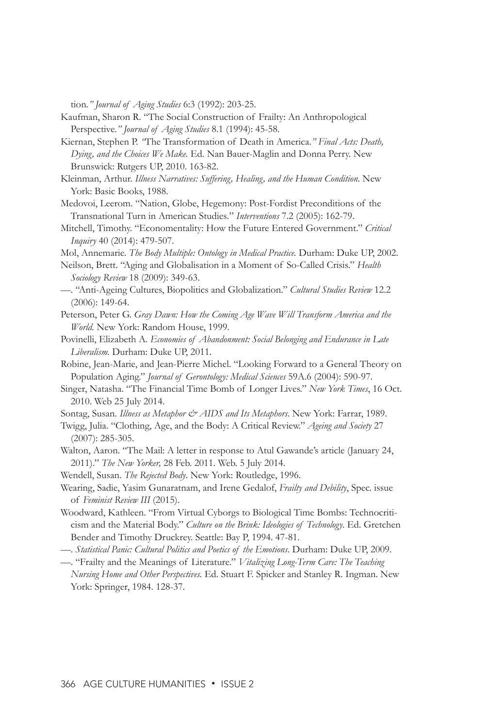tion*." Journal of Aging Studies* 6:3 (1992): 203-25.

- Kaufman, Sharon R. "The Social Construction of Frailty: An Anthropological Perspective.*" Journal of Aging Studies* 8.1 (1994): 45-58.
- Kiernan, Stephen P. *"*The Transformation of Death in America.*" Final Acts: Death, Dying, and the Choices We Make.* Ed. Nan Bauer-Maglin and Donna Perry. New Brunswick: Rutgers UP, 2010. 163-82.
- Kleinman, Arthur. *Illness Narratives: Suffering, Healing, and the Human Condition*. New York: Basic Books, 1988.
- Medovoi, Leerom. "Nation, Globe, Hegemony: Post-Fordist Preconditions of the Transnational Turn in American Studies*.*" *Interventions* 7.2 (2005): 162-79.
- Mitchell, Timothy. "Economentality: How the Future Entered Government." *Critical Inquiry* 40 (2014): 479-507.
- Mol, Annemarie. *The Body Multiple: Ontology in Medical Practice.* Durham: Duke UP, 2002.
- Neilson, Brett. "Aging and Globalisation in a Moment of So-Called Crisis." *Health Sociology Review* 18 (2009): 349-63.
- —. "Anti-Ageing Cultures, Biopolitics and Globalization." *Cultural Studies Review* 12.2 (2006): 149-64.
- Peterson, Peter G. *Gray Dawn: How the Coming Age Wave Will Transform America and the World.* New York: Random House, 1999.
- Povinelli, Elizabeth A. *Economies of Abandonment: Social Belonging and Endurance in Late Liberalism.* Durham: Duke UP, 2011.
- Robine, Jean-Marie, and Jean-Pierre Michel. "Looking Forward to a General Theory on Population Aging." *Journal of Gerontology: Medical Sciences* 59A.6 (2004): 590-97.
- Singer, Natasha. "The Financial Time Bomb of Longer Lives." *New York Times*, 16 Oct. 2010. Web 25 July 2014.
- Sontag, Susan. *Illness as Metaphor & AIDS and Its Metaphors*. New York: Farrar, 1989.
- Twigg, Julia. "Clothing, Age, and the Body: A Critical Review." *Ageing and Society* 27 (2007): 285-305.
- Walton, Aaron. "The Mail: A letter in response to Atul Gawande's article (January 24, 2011)." *The New Yorker,* 28 Feb. 2011. Web. 5 July 2014.
- Wendell, Susan. *The Rejected Body*. New York: Routledge, 1996.
- Wearing, Sadie, Yasim Gunaratnam, and Irene Gedalof, *Frailty and Debility*, Spec. issue of *Feminist Review III* (2015).
- Woodward, Kathleen. "From Virtual Cyborgs to Biological Time Bombs: Technocriticism and the Material Body." *Culture on the Brink: Ideologies of Technology*. Ed. Gretchen Bender and Timothy Druckrey. Seattle: Bay P, 1994. 47-81.
- —. *Statistical Panic: Cultural Politics and Poetics of the Emotions*. Durham: Duke UP, 2009.
- —. "Frailty and the Meanings of Literature." *Vitalizing Long-Term Care: The Teaching Nursing Home and Other Perspectives.* Ed. Stuart F. Spicker and Stanley R. Ingman. New York: Springer, 1984. 128-37.